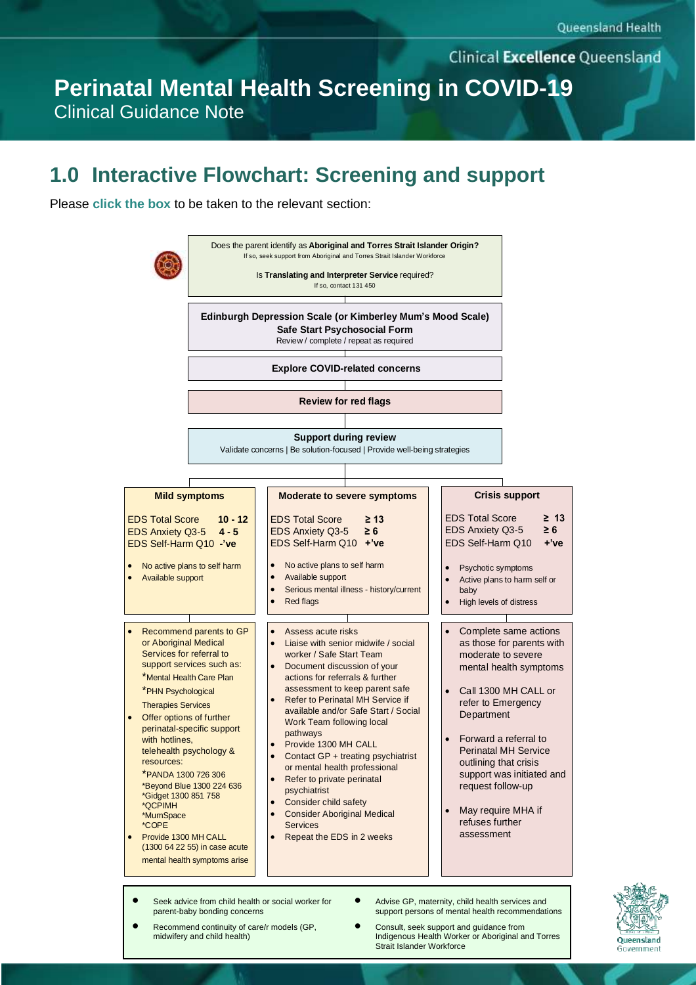**Clinical Excellence Queensland** 

**Perinatal Mental Health Screening in COVID-19** Clinical Guidance Note

### **1.0 Interactive Flowchart: Screening and support**

Please **click the box** to be taken to the relevant section:



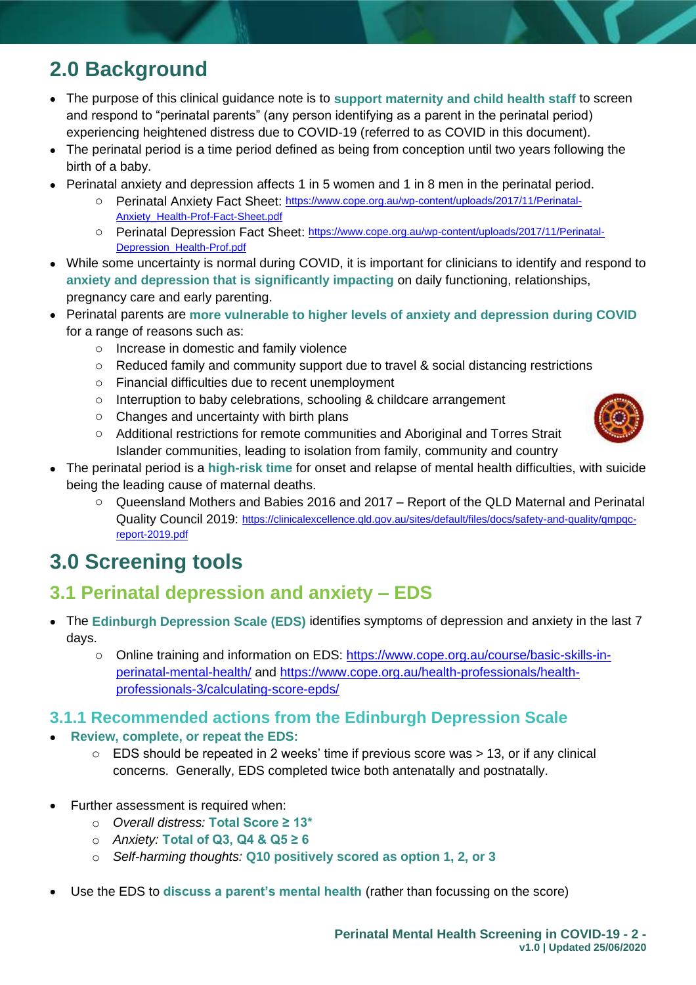## **2.0 Background**

- The purpose of this clinical guidance note is to **support maternity and child health staff** to screen and respond to "perinatal parents" (any person identifying as a parent in the perinatal period) experiencing heightened distress due to COVID-19 (referred to as COVID in this document).
- The perinatal period is a time period defined as being from conception until two years following the birth of a baby.
- Perinatal anxiety and depression affects 1 in 5 women and 1 in 8 men in the perinatal period.
	- o Perinatal Anxiety Fact Sheet: [https://www.cope.org.au/wp-content/uploads/2017/11/Perinatal-](https://www.cope.org.au/wp-content/uploads/2017/11/Perinatal-Anxiety_Health-Prof-Fact-Sheet.pdf)[Anxiety\\_Health-Prof-Fact-Sheet.pdf](https://www.cope.org.au/wp-content/uploads/2017/11/Perinatal-Anxiety_Health-Prof-Fact-Sheet.pdf)
	- o Perinatal Depression Fact Sheet: [https://www.cope.org.au/wp-content/uploads/2017/11/Perinatal-](https://www.cope.org.au/wp-content/uploads/2017/11/Perinatal-Depression_Health-Prof.pdf)[Depression\\_Health-Prof.pdf](https://www.cope.org.au/wp-content/uploads/2017/11/Perinatal-Depression_Health-Prof.pdf)
- While some uncertainty is normal during COVID, it is important for clinicians to identify and respond to **anxiety and depression that is significantly impacting** on daily functioning, relationships, pregnancy care and early parenting.
- Perinatal parents are **more vulnerable to higher levels of anxiety and depression during COVID**  for a range of reasons such as:
	- o Increase in domestic and family violence
	- $\circ$  Reduced family and community support due to travel & social distancing restrictions
	- o Financial difficulties due to recent unemployment
	- $\circ$  Interruption to baby celebrations, schooling & childcare arrangement
	- o Changes and uncertainty with birth plans
	- o Additional restrictions for remote communities and Aboriginal and Torres Strait Islander communities, leading to isolation from family, community and country



<span id="page-1-0"></span>o Queensland Mothers and Babies 2016 and 2017 – Report of the QLD Maternal and Perinatal Quality Council 2019: [https://clinicalexcellence.qld.gov.au/sites/default/files/docs/safety-and-quality/qmpqc](https://clinicalexcellence.qld.gov.au/sites/default/files/docs/safety-and-quality/qmpqc-report-2019.pdf)[report-2019.pdf](https://clinicalexcellence.qld.gov.au/sites/default/files/docs/safety-and-quality/qmpqc-report-2019.pdf)

## **3.0 Screening tools**

### **3.1 Perinatal depression and anxiety – EDS**

- The **Edinburgh Depression Scale (EDS)** identifies symptoms of depression and anxiety in the last 7 days.
	- o Online training and information on EDS: [https://www.cope.org.au/course/basic-skills-in](https://www.cope.org.au/course/basic-skills-in-perinatal-mental-health/)[perinatal-mental-health/](https://www.cope.org.au/course/basic-skills-in-perinatal-mental-health/) and [https://www.cope.org.au/health-professionals/health](https://www.cope.org.au/health-professionals/health-professionals-3/calculating-score-epds/)[professionals-3/calculating-score-epds/](https://www.cope.org.au/health-professionals/health-professionals-3/calculating-score-epds/)

#### **3.1.1 Recommended actions from the Edinburgh Depression Scale**

#### • **Review, complete, or repeat the EDS:**

- $\circ$  EDS should be repeated in 2 weeks' time if previous score was  $> 13$ , or if any clinical concerns. Generally, EDS completed twice both antenatally and postnatally.
- Further assessment is required when:
	- o Overall distress: **Total Score ≥ 13**\*
	- o *Anxiety:* **Total of Q , Q4 & Q5 ≥**
	- o *Self-harming thoughts:* **Q10 positively scored as option 1, 2, or 3**
- Use the EDS to discuss a parent's mental health (rather than focussing on the score)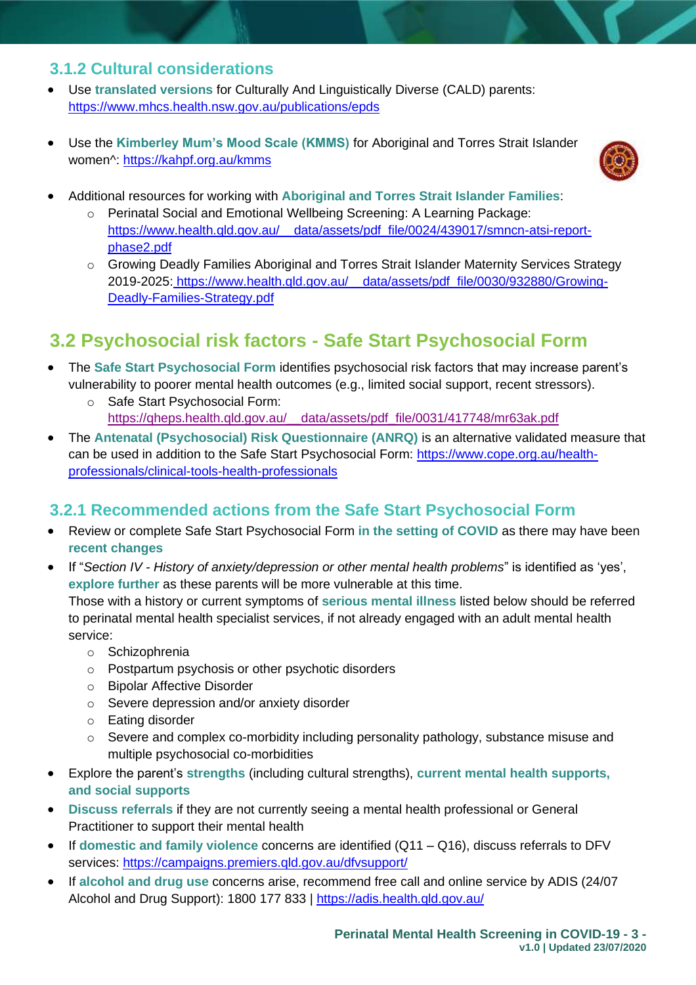#### **3.1.2 Cultural considerations**

- Use **translated versions** for Culturally And Linguistically Diverse (CALD) parents: <https://www.mhcs.health.nsw.gov.au/publications/epds>
- Use the Kimberley Mum's Mood Scale (KMMS) for Aboriginal and Torres Strait Islander women^:<https://kahpf.org.au/kmms>



- Additional resources for working with **Aboriginal and Torres Strait Islander Families**:
	- o Perinatal Social and Emotional Wellbeing Screening: A Learning Package: [https://www.health.qld.gov.au/\\_\\_data/assets/pdf\\_file/0024/439017/smncn-atsi-report](https://www.health.qld.gov.au/__data/assets/pdf_file/0024/439017/smncn-atsi-report-phase2.pdf)[phase2.pdf](https://www.health.qld.gov.au/__data/assets/pdf_file/0024/439017/smncn-atsi-report-phase2.pdf)
	- o Growing Deadly Families Aboriginal and Torres Strait Islander Maternity Services Strategy 2019-2025: [https://www.health.qld.gov.au/\\_\\_data/assets/pdf\\_file/0030/932880/Growing-](https://www.health.qld.gov.au/__data/assets/pdf_file/0030/932880/Growing-Deadly-Families-Strategy.pdf)[Deadly-Families-Strategy.pdf](https://www.health.qld.gov.au/__data/assets/pdf_file/0030/932880/Growing-Deadly-Families-Strategy.pdf)

## **3.2 Psychosocial risk factors - Safe Start Psychosocial Form**

- The **Safe Start Psychosocial Form** identifies psychosocial risk factors that may increase parent's vulnerability to poorer mental health outcomes (e.g., limited social support, recent stressors).
	- o Safe Start Psychosocial Form: [https://qheps.health.qld.gov.au/\\_\\_data/assets/pdf\\_file/0031/417748/mr63ak.pdf](https://qheps.health.qld.gov.au/__data/assets/pdf_file/0031/417748/mr63ak.pdf)
- The **Antenatal (Psychosocial) Risk Questionnaire (ANRQ)** is an alternative validated measure that can be used in addition to the Safe Start Psychosocial Form: [https://www.cope.org.au/health](https://www.cope.org.au/health-professionals/clinical-tools-health-professionals)[professionals/clinical-tools-health-professionals](https://www.cope.org.au/health-professionals/clinical-tools-health-professionals)

#### **3.2.1 Recommended actions from the Safe Start Psychosocial Form**

- Review or complete Safe Start Psychosocial Form **in the setting of COVID** as there may have been **recent changes**
- If "*Section IV - History of anxiety/depression or other mental health problems*" is identified as 'yes', **explore further** as these parents will be more vulnerable at this time.

Those with a history or current symptoms of **serious mental illness** listed below should be referred to perinatal mental health specialist services, if not already engaged with an adult mental health service:

- o Schizophrenia
- o Postpartum psychosis or other psychotic disorders
- o Bipolar Affective Disorder
- o Severe depression and/or anxiety disorder
- o Eating disorder
- $\circ$  Severe and complex co-morbidity including personality pathology, substance misuse and multiple psychosocial co-morbidities
- Explore the parent's **strengths** (including cultural strengths), **current mental health supports, and social supports**
- **Discuss referrals** if they are not currently seeing a mental health professional or General Practitioner to support their mental health
- If **domestic and family violence** concerns are identified (Q11 Q16), discuss referrals to DFV services: <https://campaigns.premiers.qld.gov.au/dfvsupport/>
- If **alcohol and drug use** concerns arise, recommend free call and online service by ADIS (24/07 Alcohol and Drug Support): 1800 177 833 | <https://adis.health.qld.gov.au/>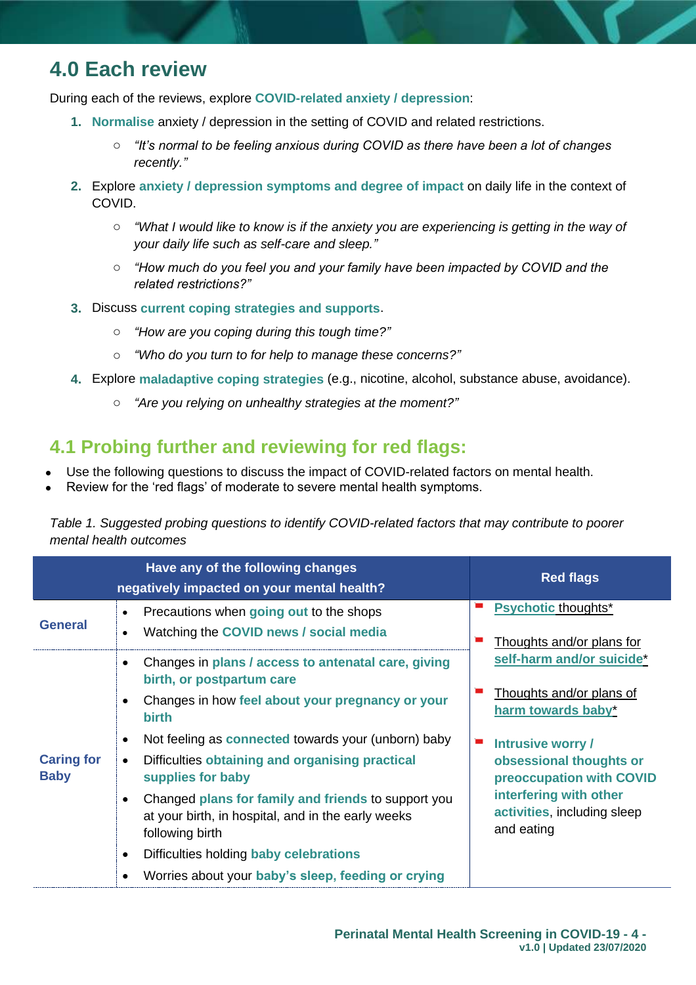## **4.0 Each review**

During each of the reviews, explore **COVID-related anxiety / depression**:

- **1. Normalise** anxiety / depression in the setting of COVID and related restrictions.
	- o *"It's normal to be feeling anxious during COVID as there have been a lot of changes recently."*
- **2.** Explore **anxiety / depression symptoms and degree of impact** on daily life in the context of COVID.
	- o *"What I would like to know is if the anxiety you are experiencing is getting in the way of your daily life such as self-care and sleep."*
	- o *"How much do you feel you and your family have been impacted by COVID and the related restrictions?"*
- **3.** Discuss **current coping strategies and supports**.
	- o *"How are you coping during this tough time?"*
	- o *"Who do you turn to for help to manage these concerns?"*
- **4.** Explore **maladaptive coping strategies** (e.g., nicotine, alcohol, substance abuse, avoidance).
	- o *"Are you relying on unhealthy strategies at the moment?"*

#### **4.1 Probing further and reviewing for red flags:**

- Use the following questions to discuss the impact of COVID-related factors on mental health.
- Review for the 'red flags' of moderate to severe mental health symptoms.

*Table 1. Suggested probing questions to identify COVID-related factors that may contribute to poorer mental health outcomes* 

|                                  | Have any of the following changes<br>negatively impacted on your mental health?                                                                                                                                                                             | <b>Red flags</b>                                                                                                                                |
|----------------------------------|-------------------------------------------------------------------------------------------------------------------------------------------------------------------------------------------------------------------------------------------------------------|-------------------------------------------------------------------------------------------------------------------------------------------------|
| <b>General</b>                   | Precautions when going out to the shops<br>$\bullet$<br>Watching the COVID news / social media                                                                                                                                                              | <b>Psychotic thoughts*</b><br>Thoughts and/or plans for                                                                                         |
|                                  | Changes in plans / access to antenatal care, giving<br>birth, or postpartum care<br>Changes in how feel about your pregnancy or your<br><b>birth</b>                                                                                                        | self-harm and/or suicide*<br>Thoughts and/or plans of<br>harm towards baby*                                                                     |
| <b>Caring for</b><br><b>Baby</b> | Not feeling as connected towards your (unborn) baby<br>Difficulties obtaining and organising practical<br>supplies for baby<br>Changed plans for family and friends to support you<br>at your birth, in hospital, and in the early weeks<br>following birth | Intrusive worry /<br>obsessional thoughts or<br>preoccupation with COVID<br>interfering with other<br>activities, including sleep<br>and eating |
|                                  | Difficulties holding baby celebrations<br>Worries about your baby's sleep, feeding or crying                                                                                                                                                                |                                                                                                                                                 |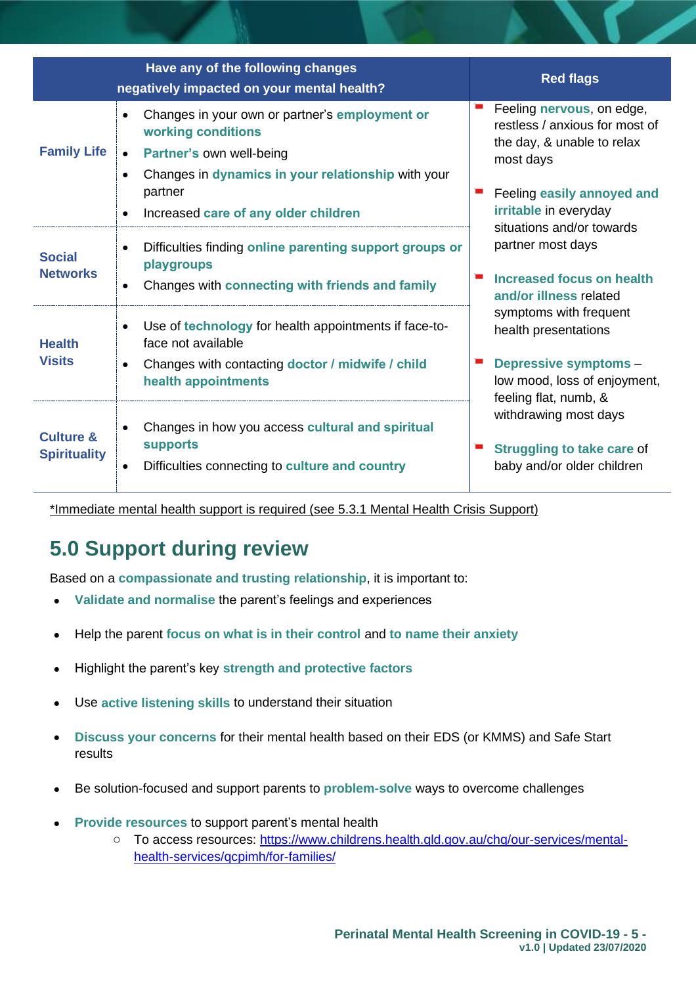|                                             | Have any of the following changes<br>negatively impacted on your mental health?                                                                                     | <b>Red flags</b>                                                                                       |
|---------------------------------------------|---------------------------------------------------------------------------------------------------------------------------------------------------------------------|--------------------------------------------------------------------------------------------------------|
| <b>Family Life</b>                          | Changes in your own or partner's employment or<br>working conditions<br>Partner's own well-being<br>Changes in dynamics in your relationship with your<br>$\bullet$ | Feeling nervous, on edge,<br>restless / anxious for most of<br>the day, & unable to relax<br>most days |
|                                             | partner<br>Increased care of any older children                                                                                                                     | Feeling easily annoyed and<br>irritable in everyday<br>situations and/or towards                       |
| <b>Social</b><br><b>Networks</b>            | Difficulties finding online parenting support groups or<br>$\bullet$<br>playgroups<br>Changes with connecting with friends and family<br>$\bullet$                  | partner most days<br>Increased focus on health<br>and/or illness related                               |
| <b>Health</b>                               | Use of technology for health appointments if face-to-<br>$\bullet$<br>face not available                                                                            | symptoms with frequent<br>health presentations                                                         |
| <b>Visits</b>                               | Changes with contacting doctor / midwife / child<br>health appointments                                                                                             | <b>Depressive symptoms -</b><br>low mood, loss of enjoyment,<br>feeling flat, numb, &                  |
| <b>Culture &amp;</b><br><b>Spirituality</b> | Changes in how you access cultural and spiritual<br><b>supports</b><br>Difficulties connecting to culture and country                                               | withdrawing most days<br><b>Struggling to take care of</b><br>baby and/or older children               |

\*Immediate mental health support is required (see 5.3.1 Mental Health Crisis Support)

# **5.0 Support during review**

Based on a **compassionate and trusting relationship**, it is important to:

- **Validate and normalise** the parent's feelings and experiences
- Help the parent **focus on what is in their control** and **to name their anxiety**
- Highlight the parent's key **strength and protective factors**
- Use **active listening skills** to understand their situation
- **Discuss your concerns** for their mental health based on their EDS (or KMMS) and Safe Start results
- Be solution-focused and support parents to **problem-solve** ways to overcome challenges
- **Provide resources** to support parent's mental health
	- o To access resources: [https://www.childrens.health.qld.gov.au/chq/our-services/mental](https://www.childrens.health.qld.gov.au/chq/our-services/mental-health-services/qcpimh/for-families/)[health-services/qcpimh/for-families/](https://www.childrens.health.qld.gov.au/chq/our-services/mental-health-services/qcpimh/for-families/)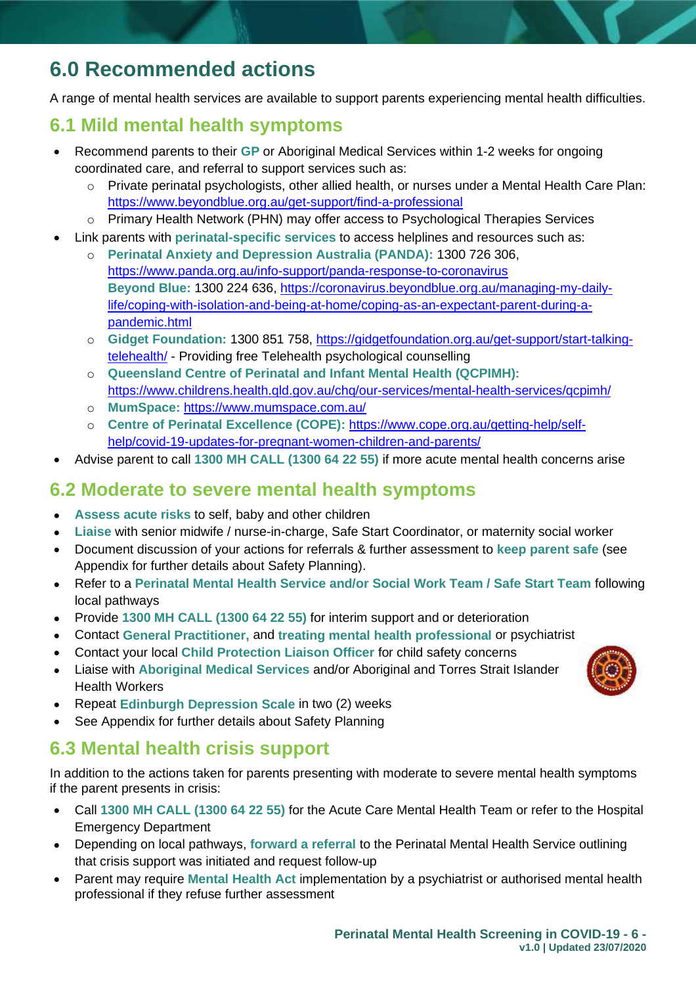## **6.0 Recommended actions**

A range of mental health services are available to support parents experiencing mental health difficulties.

#### **6.1 Mild mental health symptoms**

- Recommend parents to their **GP** or Aboriginal Medical Services within 1-2 weeks for ongoing coordinated care, and referral to support services such as:
	- o Private perinatal psychologists, other allied health, or nurses under a Mental Health Care Plan: <https://www.beyondblue.org.au/get-support/find-a-professional>
	- o Primary Health Network (PHN) may offer access to Psychological Therapies Services
- Link parents with **perinatal-specific services** to access helplines and resources such as:
	- o **Perinatal Anxiety and Depression Australia (PANDA):** 1300 726 306, https://www.panda.org.au/info-support/panda-response-to-coronavirus **Beyond Blue:** 1300 224 636, [https://coronavirus.beyondblue.org.au/managing-my-daily](https://coronavirus.beyondblue.org.au/managing-my-daily-life/coping-with-isolation-and-being-at-home/coping-as-an-expectant-parent-during-a-pandemic.html)[life/coping-with-isolation-and-being-at-home/coping-as-an-expectant-parent-during-a](https://coronavirus.beyondblue.org.au/managing-my-daily-life/coping-with-isolation-and-being-at-home/coping-as-an-expectant-parent-during-a-pandemic.html)[pandemic.html](https://coronavirus.beyondblue.org.au/managing-my-daily-life/coping-with-isolation-and-being-at-home/coping-as-an-expectant-parent-during-a-pandemic.html)
	- o **Gidget Foundation:** 1300 851 758, [https://gidgetfoundation.org.au/get-support/start-talking](https://gidgetfoundation.org.au/get-support/start-talking-telehealth/)[telehealth/](https://gidgetfoundation.org.au/get-support/start-talking-telehealth/) - Providing free Telehealth psychological counselling
	- o **Queensland Centre of Perinatal and Infant Mental Health (QCPIMH):** <https://www.childrens.health.qld.gov.au/chq/our-services/mental-health-services/qcpimh/>
	- o **MumSpace:** <https://www.mumspace.com.au/>
	- o **Centre of Perinatal Excellence (COPE):** [https://www.cope.org.au/getting-help/self](https://www.cope.org.au/getting-help/self-help/covid-19-updates-for-pregnant-women-children-and-parents/)[help/covid-19-updates-for-pregnant-women-children-and-parents/](https://www.cope.org.au/getting-help/self-help/covid-19-updates-for-pregnant-women-children-and-parents/)
- Advise parent to call **1300 MH CALL (1300 64 22 55)** if more acute mental health concerns arise

#### **6.2 Moderate to severe mental health symptoms**

- **Assess acute risks** to self, baby and other children
- **Liaise** with senior midwife / nurse-in-charge, Safe Start Coordinator, or maternity social worker
- Document discussion of your actions for referrals & further assessment to **keep parent safe** (see Appendix for further details about Safety Planning).
- Refer to a **Perinatal Mental Health Service and/or Social Work Team / Safe Start Team** following local pathways
- Provide **1300 MH CALL (1300 64 22 55)** for interim support and or deterioration
- Contact **General Practitioner,** and **treating mental health professional** or psychiatrist
- Contact your local **Child Protection Liaison Officer** for child safety concerns
- Liaise with **Aboriginal Medical Services** and/or Aboriginal and Torres Strait Islander Health Workers
- Repeat **Edinburgh Depression Scale** in two (2) weeks
- See Appendix for further details about Safety Planning

### **6.3 Mental health crisis support**

In addition to the actions taken for parents presenting with moderate to severe mental health symptoms if the parent presents in crisis:

- Call **1300 MH CALL (1300 64 22 55)** for the Acute Care Mental Health Team or refer to the Hospital Emergency Department
- Depending on local pathways, **forward a referral** to the Perinatal Mental Health Service outlining that crisis support was initiated and request follow-up
- Parent may require **Mental Health Act** implementation by a psychiatrist or authorised mental health professional if they refuse further assessment